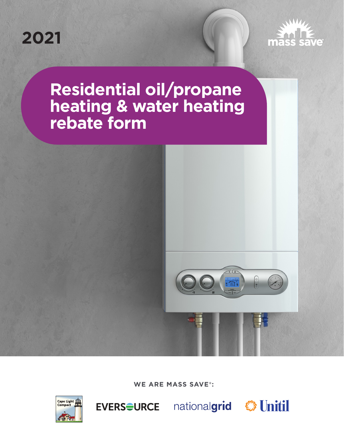



# **Residential oil/propane heating & water heating rebate form**



**WE ARE MASS SAVE®:** 



EVERS<del>O</del>URCE nationalgrid Solnitil

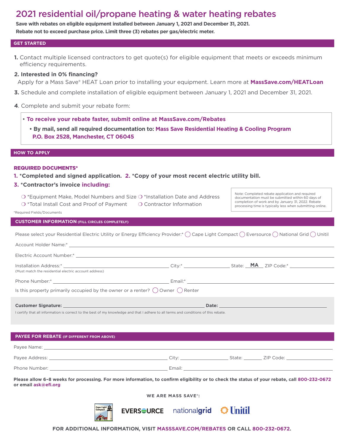# 2021 residential oil/propane heating & water heating rebates

**Save with rebates on eligible equipment installed between January 1, 2021 and December 31, 2021. Rebate not to exceed purchase price. Limit three (3) rebates per gas/electric meter.** 

#### **GET STARTED**

**1.** Contact multiple licensed contractors to get quote(s) for eligible equipment that meets or exceeds minimum efficiency requirements.

# **2. Interested in 0% financing?**

- Apply for a Mass Save® HEAT Loan prior to installing your equipment. Learn more at **[MassSave.com/HEATLoan](www.MassSave.com/HEATLoan)**
- **3.** Schedule and complete installation of eligible equipment between January 1, 2021 and December 31, 2021.
- **4**. Complete and submit your rebate form:
	- **To receive your rebate faster, submit online at MassSave.com/Rebates** 
		- **By mail, send all required documentation to: Mass Save Residential Heating & Cooling Program P.O. Box 2528, Manchester, CT 06045**

#### **HOW TO APPLY**

#### REQUIRED DOCUMENTS\*

- **1. \*Completed and signed application. 2. \*Copy of your most recent electric utility bill.**
- **3. \*Contractor's invoice including:** 
	- O \*Equipment Make, Model Numbers and Size O \*Installation Date and Address
	- O \*Total Install Cost and Proof of Payment  $\bigcirc$  Contractor Information

Note: Completed rebate application and required documentation must be submitted within 60 days of completion of work and by January 31, 2022. Rebate processing time is typically less when submitting online.

#### \*Required Fields/Documents

# **CUSTOMER INFORMATION (FILL CIRCLES COMPLETELY)**

| Please select your Residential Electric Utility or Energy Efficiency Provider:* $\bigcirc$ Cape Light Compact $\bigcirc$ Eversource $\bigcirc$ National Grid $\bigcirc$ Unitil |
|--------------------------------------------------------------------------------------------------------------------------------------------------------------------------------|
|--------------------------------------------------------------------------------------------------------------------------------------------------------------------------------|

| (Must match the residential electric account address)                                                                                                                                                                                                                                                                                                                                 |  |  |  |  |  |  |
|---------------------------------------------------------------------------------------------------------------------------------------------------------------------------------------------------------------------------------------------------------------------------------------------------------------------------------------------------------------------------------------|--|--|--|--|--|--|
|                                                                                                                                                                                                                                                                                                                                                                                       |  |  |  |  |  |  |
| Is this property primarily occupied by the owner or a renter? $\bigcirc$ Owner $\bigcirc$ Renter                                                                                                                                                                                                                                                                                      |  |  |  |  |  |  |
|                                                                                                                                                                                                                                                                                                                                                                                       |  |  |  |  |  |  |
|                                                                                                                                                                                                                                                                                                                                                                                       |  |  |  |  |  |  |
| $\mathbf{r} = \mathbf{r} \cdot \mathbf{r}$ and $\mathbf{r} = \mathbf{r} \cdot \mathbf{r}$ and $\mathbf{r} = \mathbf{r} \cdot \mathbf{r}$ and $\mathbf{r} = \mathbf{r} \cdot \mathbf{r}$ and $\mathbf{r} = \mathbf{r} \cdot \mathbf{r}$ and $\mathbf{r} = \mathbf{r} \cdot \mathbf{r}$ and $\mathbf{r} = \mathbf{r} \cdot \mathbf{r}$ and $\mathbf{r} = \mathbf{r} \cdot \mathbf{r}$ a |  |  |  |  |  |  |

| I certify that all information is correct to the best of my knowledge and that I adhere to all terms and conditions of this rebate. |  |
|-------------------------------------------------------------------------------------------------------------------------------------|--|
|-------------------------------------------------------------------------------------------------------------------------------------|--|

| <b>PAYEE FOR REBATE (IF DIFFERENT FROM ABOVE)</b>                                                                                            |  |  |  |  |  |  |
|----------------------------------------------------------------------------------------------------------------------------------------------|--|--|--|--|--|--|
|                                                                                                                                              |  |  |  |  |  |  |
|                                                                                                                                              |  |  |  |  |  |  |
|                                                                                                                                              |  |  |  |  |  |  |
| Please allow 6-8 weeks for processing. For more information, to confirm eligibility or to check the status of your rebate, call 800-232-0672 |  |  |  |  |  |  |

**Please allow 6–8 weeks for processing. For more information, to confrm eligibility or to check the status of your rebate, call 800-232-0672 or email [ask@ef.org](mailto:ask@efi.org)** 

**WE ARE MASS SAVE®:** 

EVERS<del>O</del>URCE nationalgrid SUnitil



**FOR ADDITIONAL INFORMATION, VISIT [MASSSAVE.COM/REBATES](www.MASSSAVE.COM/REBATES) OR CALL 800-232-0672.**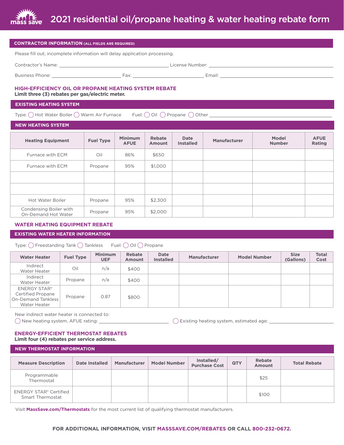

| <b>CONTRACTOR INFORMATION (ALL FIELDS ARE REQUIRED)</b>                                                            |                  |                               |                  |                                 |                     |                        |                       |  |
|--------------------------------------------------------------------------------------------------------------------|------------------|-------------------------------|------------------|---------------------------------|---------------------|------------------------|-----------------------|--|
| Please fill out; incomplete information will delay application processing.                                         |                  |                               |                  |                                 |                     |                        |                       |  |
|                                                                                                                    |                  |                               |                  |                                 |                     |                        |                       |  |
|                                                                                                                    |                  |                               |                  |                                 |                     |                        |                       |  |
| <b>HIGH-EFFICIENCY OIL OR PROPANE HEATING SYSTEM REBATE</b><br>Limit three (3) rebates per gas/electric meter.     |                  |                               |                  |                                 |                     |                        |                       |  |
| <b>EXISTING HEATING SYSTEM</b>                                                                                     |                  |                               |                  |                                 |                     |                        |                       |  |
| Type: ◯ Hot Water Boiler ◯ Warm Air Furnace<br>Fuel: $\bigcirc$ Oil $\bigcirc$ Propane $\bigcirc$ Other $\bigcirc$ |                  |                               |                  |                                 |                     |                        |                       |  |
| <b>NEW HEATING SYSTEM</b>                                                                                          |                  |                               |                  |                                 |                     |                        |                       |  |
| <b>Heating Equipment</b>                                                                                           | <b>Fuel Type</b> | <b>Minimum</b><br><b>AFUE</b> | Rebate<br>Amount | <b>Date</b><br><b>Installed</b> | <b>Manufacturer</b> | Model<br><b>Number</b> | <b>AFUE</b><br>Rating |  |

| Furnace with ECM                              | Oil     | 86% | \$650   |  |  |
|-----------------------------------------------|---------|-----|---------|--|--|
| Furnace with ECM                              | Propane | 95% | \$1,000 |  |  |
|                                               |         |     |         |  |  |
|                                               |         |     |         |  |  |
| <b>Hot Water Boiler</b>                       | Propane | 95% | \$2,300 |  |  |
| Condensing Boiler with<br>On-Demand Hot Water | Propane | 95% | \$2,000 |  |  |

# **WATER HEATING EQUIPMENT REBATE**

#### **EXISTING WATER HEATER INFORMATION**

Type:  $\bigcirc$  Freestanding Tank  $\bigcirc$  Tankless Fuel:  $\bigcirc$  Oil  $\bigcirc$  Propane

| <b>Water Heater</b>                                                                          | <b>Fuel Type</b> | <b>Minimum</b><br><b>UEF</b> | Rebate<br><b>Amount</b> | Date<br><b>Installed</b> | <b>Manufacturer</b> | <b>Model Number</b> | <b>Size</b><br>(Gallons) | <b>Total</b><br>Cost |
|----------------------------------------------------------------------------------------------|------------------|------------------------------|-------------------------|--------------------------|---------------------|---------------------|--------------------------|----------------------|
| Indirect<br>Water Heater                                                                     | Oil              | n/a                          | \$400                   |                          |                     |                     |                          |                      |
| Indirect<br>Water Heater                                                                     | Propane          | n/a                          | \$400                   |                          |                     |                     |                          |                      |
| <b>ENERGY STAR®</b><br><b>Certified Propane</b><br><b>On-Demand Tankless</b><br>Water Heater | Propane          | 0.87                         | \$800                   |                          |                     |                     |                          |                      |

New indirect water heater is connected to:

 $\bigcirc$  New heating system, AFUE rating:  $\textcolor{red}{\bigcirc}$  Existing heating system, estimated age:  $\textcolor{red}{\bigcirc}$ 

# **ENERGY-EFFICIENT THERMOSTAT REBATES Limit four (4) rebates per service address.**

# **NEW THERMOSTAT INFORMATION**

| <b>Measure Description</b>                               | Date Installed | <b>Manufacturer</b> | <b>Model Number</b> | Installed/<br>Purchase Cost | <b>QTY</b> | <b>Rebate</b><br><b>Amount</b> | <b>Total Rebate</b> |
|----------------------------------------------------------|----------------|---------------------|---------------------|-----------------------------|------------|--------------------------------|---------------------|
| Programmable<br>Thermostat                               |                |                     |                     |                             |            | \$25                           |                     |
| <b>ENERGY STAR® Certified</b><br><b>Smart Thermostat</b> |                |                     |                     |                             |            | \$100                          |                     |

Visit **[MassSave.com/Thermostats](www.MassSave.com/Thermostats)** for the most current list of qualifying thermostat manufacturers.